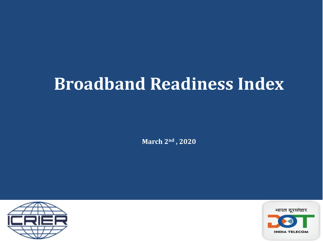# **Broadband Readiness Index**

**March 2nd , 2020**



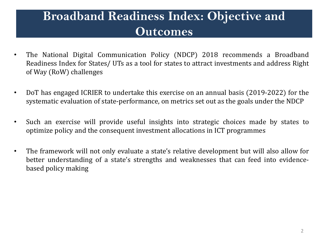### **Broadband Readiness Index: Objective and Outcomes**

- The National Digital Communication Policy (NDCP) 2018 recommends a Broadband Readiness Index for States/ UTs as a tool for states to attract investments and address Right of Way (RoW) challenges
- DoT has engaged ICRIER to undertake this exercise on an annual basis (2019-2022) for the systematic evaluation of state-performance, on metrics set out as the goals under the NDCP
- Such an exercise will provide useful insights into strategic choices made by states to optimize policy and the consequent investment allocations in ICT programmes
- The framework will not only evaluate a state's relative development but will also allow for better understanding of a state's strengths and weaknesses that can feed into evidencebased policy making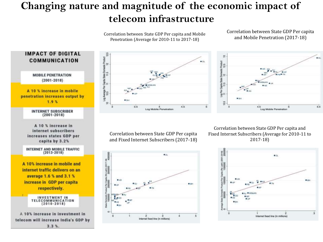### **Changing nature and magnitude of the economic impact of telecom infrastructure**

Correlation between State GDP Per capita and Mobile Penetration (Average for 2010-11 to 2017-18)

125

Capta State Domestic Product  $11.5$   $12$ 

Log Average Per C

e

Correlation between State GDP Per capita and Mobile Penetration (2017-18)



Correlation between State GDP Per capita and Fixed Internet Subscribers (Average for 2010-11 to 2017-18)



**IMPACT OF DIGITAL COMMUNICATION MOBILE PENETRATION**  $(2001 - 2018)$ A 10 % increase in mobile penetration increases output by  $1.9%$ **INTERNET SUBSCRIBER**  $(2001 - 2018)$ A 10 % increase in internet subscribers increases states GDP per capita by 3.2% **INTERNET AND MOBILE TRAFFIC**  $(2013 - 2018)$ A 10% increase in mobile and internet traffic delivers on an average 1.6 % and 3.1 % increase in GDP per capital respectively. **INVESTMENT IN TELECOMMUNICATION**  $(2010 - 2018)$ A 10% increase in investment in telecom will increase India's GDP by  $3.3%$ 

Correlation between State GDP Per capita and Fixed Internet Subscribers (2017-18)

Log Mobile Penetration

 $4.5$ 

 $3.5$ 

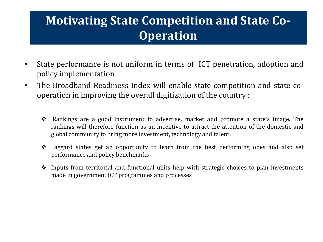## **Motivating State Competition and State Co-Operation**

- State performance is not uniform in terms of ICT penetration, adoption and policy implementation
- The Broadband Readiness Index will enable state competition and state cooperation in improving the overall digitization of the country :
	- Rankings are a good instrument to advertise, market and promote a state's image. The rankings will therefore function as an incentive to attract the attention of the domestic and global community to bring more investment, technology and talent.
	- Laggard states get an opportunity to learn from the best performing ones and also set performance and policy benchmarks
	- $\cdot$  Inputs from territorial and functional units help with strategic choices to plan investments made in government ICT programmes and processes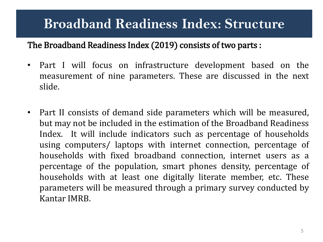## **Broadband Readiness Index: Structure**

#### The Broadband Readiness Index (2019) consists of two parts :

- Part I will focus on infrastructure development based on the measurement of nine parameters. These are discussed in the next slide.
- Part II consists of demand side parameters which will be measured, but may not be included in the estimation of the Broadband Readiness Index. It will include indicators such as percentage of households using computers/ laptops with internet connection, percentage of households with fixed broadband connection, internet users as a percentage of the population, smart phones density, percentage of households with at least one digitally literate member, etc. These parameters will be measured through a primary survey conducted by Kantar IMRB.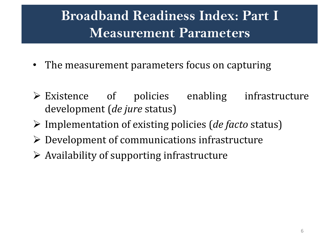## **Broadband Readiness Index: Part I Measurement Parameters**

- The measurement parameters focus on capturing
- Existence of policies enabling infrastructure development (*de jure* status)
- Implementation of existing policies (*de facto* status)
- $\triangleright$  Development of communications infrastructure
- $\triangleright$  Availability of supporting infrastructure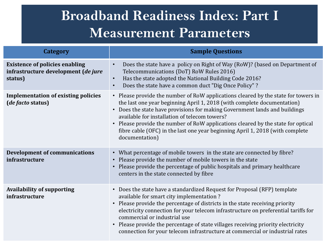## **Broadband Readiness Index: Part I Measurement Parameters**

| <b>Category</b>                                                                         | <b>Sample Questions</b>                                                                                                                                                                                                                                                                                                                                                                                                                                                                                 |
|-----------------------------------------------------------------------------------------|---------------------------------------------------------------------------------------------------------------------------------------------------------------------------------------------------------------------------------------------------------------------------------------------------------------------------------------------------------------------------------------------------------------------------------------------------------------------------------------------------------|
| <b>Existence of policies enabling</b><br>infrastructure development (de jure<br>status) | Does the state have a policy on Right of Way (RoW)? (based on Department of<br>$\bullet$<br>Telecommunications (DoT) RoW Rules 2016)<br>Has the state adopted the National Building Code 2016?<br>$\bullet$<br>Does the state have a common duct "Dig Once Policy"?<br>$\bullet$                                                                                                                                                                                                                        |
| <b>Implementation of existing policies</b><br>(de facto status)                         | • Please provide the number of RoW applications cleared by the state for towers in<br>the last one year beginning April 1, 2018 (with complete documentation)<br>Does the state have provisions for making Government lands and buildings<br>available for installation of telecom towers?<br>• Please provide the number of RoW applications cleared by the state for optical<br>fibre cable (OFC) in the last one year beginning April 1, 2018 (with complete<br>documentation)                       |
| <b>Development of communications</b><br>infrastructure                                  | • What percentage of mobile towers in the state are connected by fibre?<br>• Please provide the number of mobile towers in the state<br>Please provide the percentage of public hospitals and primary healthcare<br>centers in the state connected by fibre                                                                                                                                                                                                                                             |
| <b>Availability of supporting</b><br>infrastructure                                     | • Does the state have a standardized Request for Proposal (RFP) template<br>available for smart city implementation?<br>Please provide the percentage of districts in the state receiving priority<br>electricity connection for your telecom infrastructure on preferential tariffs for<br>commercial or industrial use<br>Please provide the percentage of state villages receiving priority electricity<br>$\bullet$<br>connection for your telecom infrastructure at commercial or industrial rates |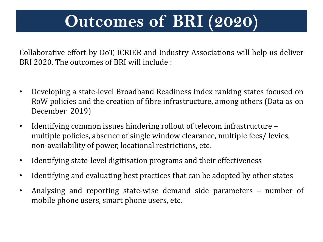# **Outcomes of BRI (2020)**

Collaborative effort by DoT, ICRIER and Industry Associations will help us deliver BRI 2020. The outcomes of BRI will include :

- Developing a state-level Broadband Readiness Index ranking states focused on RoW policies and the creation of fibre infrastructure, among others (Data as on December 2019)
- Identifying common issues hindering rollout of telecom infrastructure multiple policies, absence of single window clearance, multiple fees/ levies, non-availability of power, locational restrictions, etc.
- Identifying state-level digitisation programs and their effectiveness
- Identifying and evaluating best practices that can be adopted by other states
- Analysing and reporting state-wise demand side parameters number of mobile phone users, smart phone users, etc.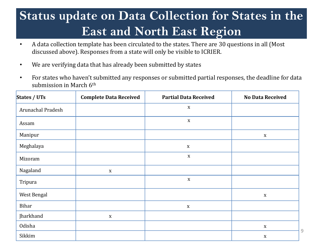## **Status update on Data Collection for States in the East and North East Region**

- A data collection template has been circulated to the states. There are 30 questions in all (Most discussed above). Responses from a state will only be visible to ICRIER.
- We are verifying data that has already been submitted by states
- For states who haven't submitted any responses or submitted partial responses, the deadline for data submission in March 6<sup>th</sup>

| States / UTs      | <b>Complete Data Received</b> | <b>Partial Data Received</b> | <b>No Data Received</b> |
|-------------------|-------------------------------|------------------------------|-------------------------|
| Arunachal Pradesh |                               | $\mathbf X$                  |                         |
| Assam             |                               | $\mathbf X$                  |                         |
| Manipur           |                               |                              | $\mathbf X$             |
| Meghalaya         |                               | $\mathbf X$                  |                         |
| Mizoram           |                               | $\mathbf X$                  |                         |
| Nagaland          | $\boldsymbol{X}$              |                              |                         |
| Tripura           |                               | $\mathbf X$                  |                         |
| West Bengal       |                               |                              | $\mathbf X$             |
| Bihar             |                               | $\mathbf X$                  |                         |
| Jharkhand         | $\mathbf X$                   |                              |                         |
| Odisha            |                               |                              | $\mathbf X$             |
| Sikkim            |                               |                              | $\mathbf X$             |

9